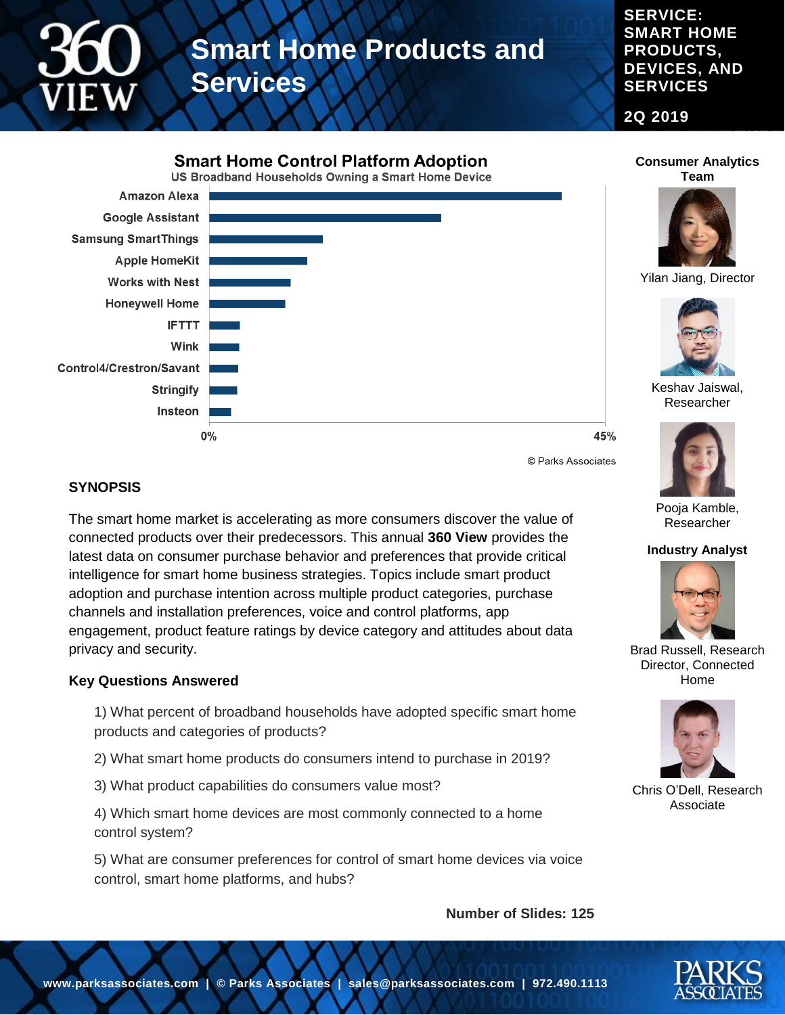

**SERVICE: SMART HOME PRODUCTS, DEVICES, AND SERVICES**

**2Q 2019**



**Consumer Analytics Team**



Yilan Jiang, Director



Keshav Jaiswal, Researcher

© Parks Associates

45%

#### **SYNOPSIS**

The smart home market is accelerating as more consumers discover the value of connected products over their predecessors. This annual **360 View** provides the latest data on consumer purchase behavior and preferences that provide critical intelligence for smart home business strategies. Topics include smart product adoption and purchase intention across multiple product categories, purchase channels and installation preferences, voice and control platforms, app engagement, product feature ratings by device category and attitudes about data privacy and security.

#### **Key Questions Answered**

1) What percent of broadband households have adopted specific smart home products and categories of products?

2) What smart home products do consumers intend to purchase in 2019?

3) What product capabilities do consumers value most?

4) Which smart home devices are most commonly connected to a home control system?

5) What are consumer preferences for control of smart home devices via voice control, smart home platforms, and hubs?

**Number of Slides: 125**



Pooja Kamble, Researcher

**Industry Analyst**



Brad Russell, Research Director, Connected Home



Chris O'Dell, Research Associate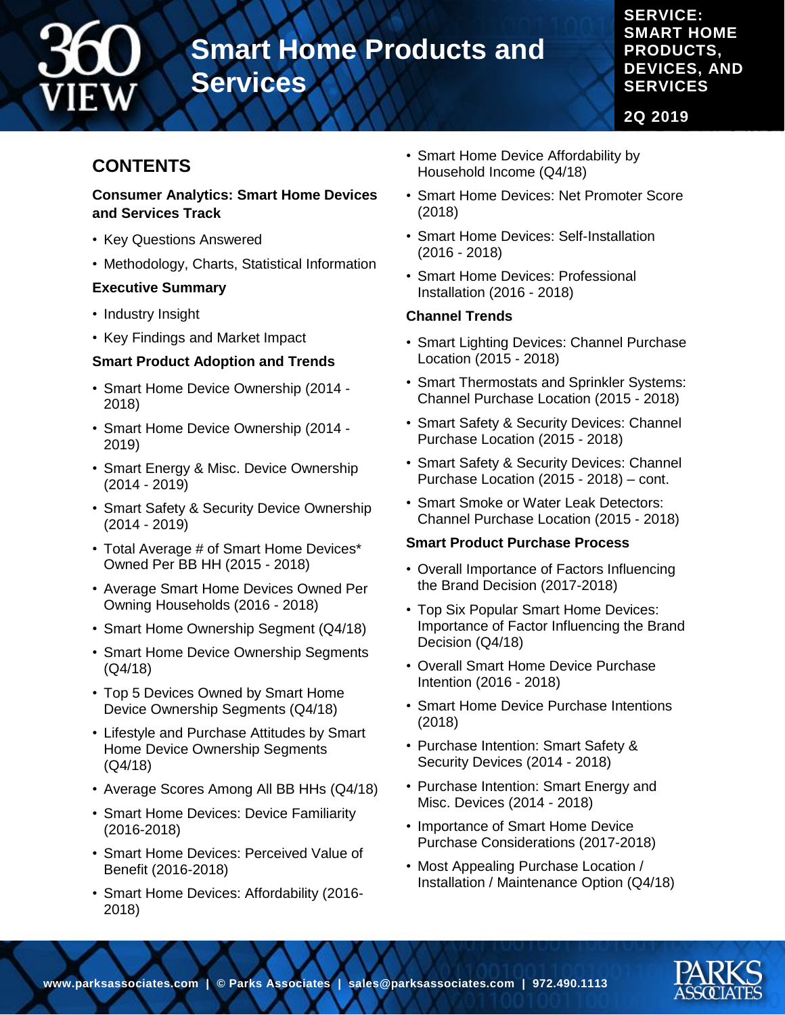

**SERVICE: SMART HOME PRODUCTS, DEVICES, AND SERVICES**

**2Q 2019**

# **CONTENTS**

#### **Consumer Analytics: Smart Home Devices and Services Track**

- Key Questions Answered
- Methodology, Charts, Statistical Information

# **Executive Summary**

- Industry Insight
- Key Findings and Market Impact

# **Smart Product Adoption and Trends**

- Smart Home Device Ownership (2014 2018)
- Smart Home Device Ownership (2014 2019)
- Smart Energy & Misc. Device Ownership (2014 - 2019)
- Smart Safety & Security Device Ownership (2014 - 2019)
- Total Average # of Smart Home Devices\* Owned Per BB HH (2015 - 2018)
- Average Smart Home Devices Owned Per Owning Households (2016 - 2018)
- Smart Home Ownership Segment (Q4/18)
- Smart Home Device Ownership Segments (Q4/18)
- Top 5 Devices Owned by Smart Home Device Ownership Segments (Q4/18)
- Lifestyle and Purchase Attitudes by Smart Home Device Ownership Segments (Q4/18)
- Average Scores Among All BB HHs (Q4/18)
- Smart Home Devices: Device Familiarity (2016-2018)
- Smart Home Devices: Perceived Value of Benefit (2016-2018)
- Smart Home Devices: Affordability (2016- 2018)
- Smart Home Device Affordability by Household Income (Q4/18)
- Smart Home Devices: Net Promoter Score (2018)
- Smart Home Devices: Self-Installation (2016 - 2018)
- Smart Home Devices: Professional Installation (2016 - 2018)

#### **Channel Trends**

- Smart Lighting Devices: Channel Purchase Location (2015 - 2018)
- Smart Thermostats and Sprinkler Systems: Channel Purchase Location (2015 - 2018)
- Smart Safety & Security Devices: Channel Purchase Location (2015 - 2018)
- Smart Safety & Security Devices: Channel Purchase Location (2015 - 2018) – cont.
- Smart Smoke or Water Leak Detectors: Channel Purchase Location (2015 - 2018)

# **Smart Product Purchase Process**

- Overall Importance of Factors Influencing the Brand Decision (2017-2018)
- Top Six Popular Smart Home Devices: Importance of Factor Influencing the Brand Decision (Q4/18)
- Overall Smart Home Device Purchase Intention (2016 - 2018)
- Smart Home Device Purchase Intentions (2018)
- Purchase Intention: Smart Safety & Security Devices (2014 - 2018)
- Purchase Intention: Smart Energy and Misc. Devices (2014 - 2018)
- Importance of Smart Home Device Purchase Considerations (2017-2018)
- Most Appealing Purchase Location / Installation / Maintenance Option (Q4/18)

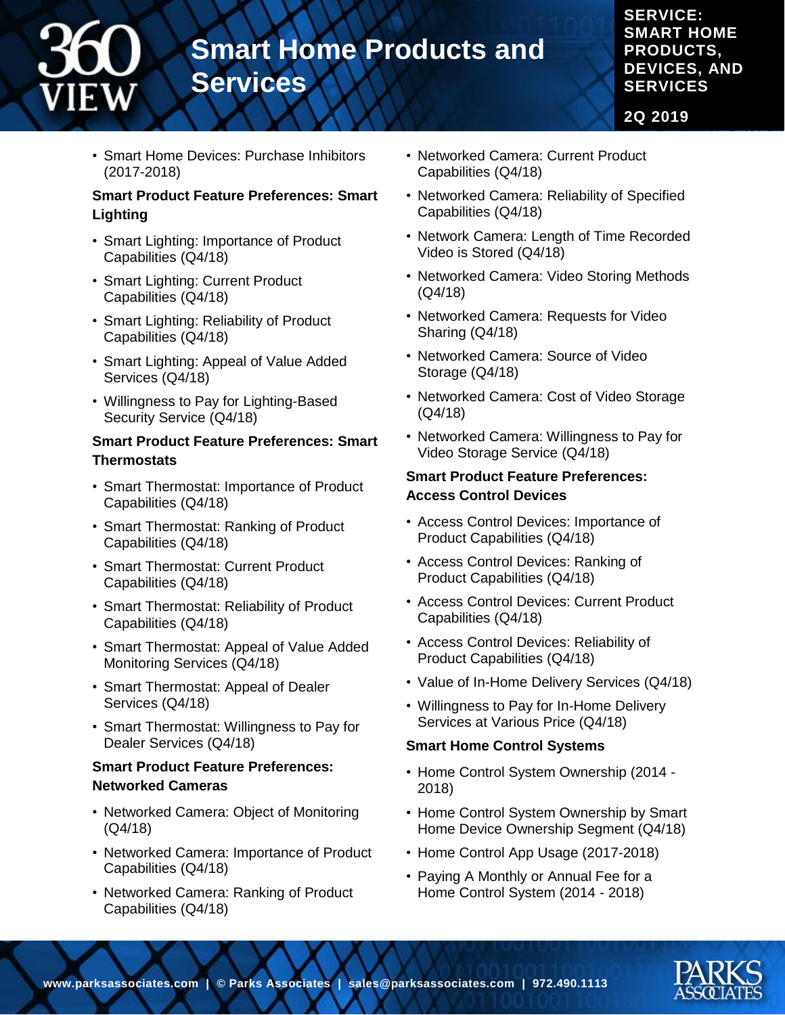**SERVICE: SMART HOME PRODUCTS, DEVICES, AND SERVICES**

**2Q 2019**

• Smart Home Devices: Purchase Inhibitors (2017-2018)

# **Smart Product Feature Preferences: Smart Lighting**

- Smart Lighting: Importance of Product Capabilities (Q4/18)
- Smart Lighting: Current Product Capabilities (Q4/18)
- Smart Lighting: Reliability of Product Capabilities (Q4/18)
- Smart Lighting: Appeal of Value Added Services (Q4/18)
- Willingness to Pay for Lighting-Based Security Service (Q4/18)

# **Smart Product Feature Preferences: Smart Thermostats**

- Smart Thermostat: Importance of Product Capabilities (Q4/18)
- Smart Thermostat: Ranking of Product Capabilities (Q4/18)
- Smart Thermostat: Current Product Capabilities (Q4/18)
- Smart Thermostat: Reliability of Product Capabilities (Q4/18)
- Smart Thermostat: Appeal of Value Added Monitoring Services (Q4/18)
- Smart Thermostat: Appeal of Dealer Services (Q4/18)
- Smart Thermostat: Willingness to Pay for Dealer Services (Q4/18)

# **Smart Product Feature Preferences: Networked Cameras**

- Networked Camera: Object of Monitoring (Q4/18)
- Networked Camera: Importance of Product Capabilities (Q4/18)
- Networked Camera: Ranking of Product Capabilities (Q4/18)
- Networked Camera: Current Product Capabilities (Q4/18)
- Networked Camera: Reliability of Specified Capabilities (Q4/18)
- Network Camera: Length of Time Recorded Video is Stored (Q4/18)
- Networked Camera: Video Storing Methods (Q4/18)
- Networked Camera: Requests for Video Sharing (Q4/18)
- Networked Camera: Source of Video Storage (Q4/18)
- Networked Camera: Cost of Video Storage (Q4/18)
- Networked Camera: Willingness to Pay for Video Storage Service (Q4/18)

# **Smart Product Feature Preferences: Access Control Devices**

- Access Control Devices: Importance of Product Capabilities (Q4/18)
- Access Control Devices: Ranking of Product Capabilities (Q4/18)
- Access Control Devices: Current Product Capabilities (Q4/18)
- Access Control Devices: Reliability of Product Capabilities (Q4/18)
- Value of In-Home Delivery Services (Q4/18)
- Willingness to Pay for In-Home Delivery Services at Various Price (Q4/18)

# **Smart Home Control Systems**

- Home Control System Ownership (2014 2018)
- Home Control System Ownership by Smart Home Device Ownership Segment (Q4/18)
- Home Control App Usage (2017-2018)
- Paying A Monthly or Annual Fee for a Home Control System (2014 - 2018)

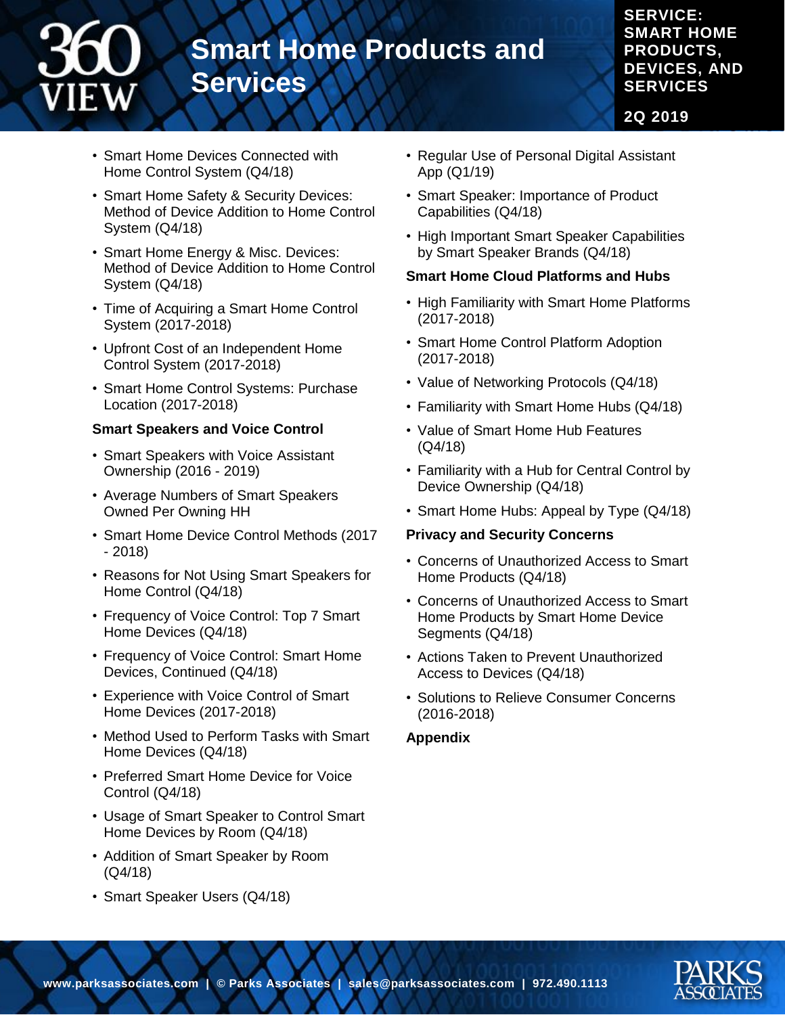# **SERVICE: SMART HOME PRODUCTS, DEVICES, AND SERVICES**

**2Q 2019**

- Smart Home Devices Connected with Home Control System (Q4/18)
- Smart Home Safety & Security Devices: Method of Device Addition to Home Control System (Q4/18)

**Services**

**Smart Home Products and** 

- Smart Home Energy & Misc. Devices: Method of Device Addition to Home Control System (Q4/18)
- Time of Acquiring a Smart Home Control System (2017-2018)
- Upfront Cost of an Independent Home Control System (2017-2018)
- Smart Home Control Systems: Purchase Location (2017-2018)

#### **Smart Speakers and Voice Control**

- Smart Speakers with Voice Assistant Ownership (2016 - 2019)
- Average Numbers of Smart Speakers Owned Per Owning HH
- Smart Home Device Control Methods (2017 - 2018)
- Reasons for Not Using Smart Speakers for Home Control (Q4/18)
- Frequency of Voice Control: Top 7 Smart Home Devices (Q4/18)
- Frequency of Voice Control: Smart Home Devices, Continued (Q4/18)
- Experience with Voice Control of Smart Home Devices (2017-2018)
- Method Used to Perform Tasks with Smart Home Devices (Q4/18)
- Preferred Smart Home Device for Voice Control (Q4/18)
- Usage of Smart Speaker to Control Smart Home Devices by Room (Q4/18)
- Addition of Smart Speaker by Room (Q4/18)
- Smart Speaker Users (Q4/18)
- Regular Use of Personal Digital Assistant App (Q1/19)
- Smart Speaker: Importance of Product Capabilities (Q4/18)
- High Important Smart Speaker Capabilities by Smart Speaker Brands (Q4/18)

#### **Smart Home Cloud Platforms and Hubs**

- High Familiarity with Smart Home Platforms (2017-2018)
- Smart Home Control Platform Adoption (2017-2018)
- Value of Networking Protocols (Q4/18)
- Familiarity with Smart Home Hubs (Q4/18)
- Value of Smart Home Hub Features (Q4/18)
- Familiarity with a Hub for Central Control by Device Ownership (Q4/18)
- Smart Home Hubs: Appeal by Type (Q4/18)

#### **Privacy and Security Concerns**

- Concerns of Unauthorized Access to Smart Home Products (Q4/18)
- Concerns of Unauthorized Access to Smart Home Products by Smart Home Device Segments (Q4/18)
- Actions Taken to Prevent Unauthorized Access to Devices (Q4/18)
- Solutions to Relieve Consumer Concerns (2016-2018)

#### **Appendix**